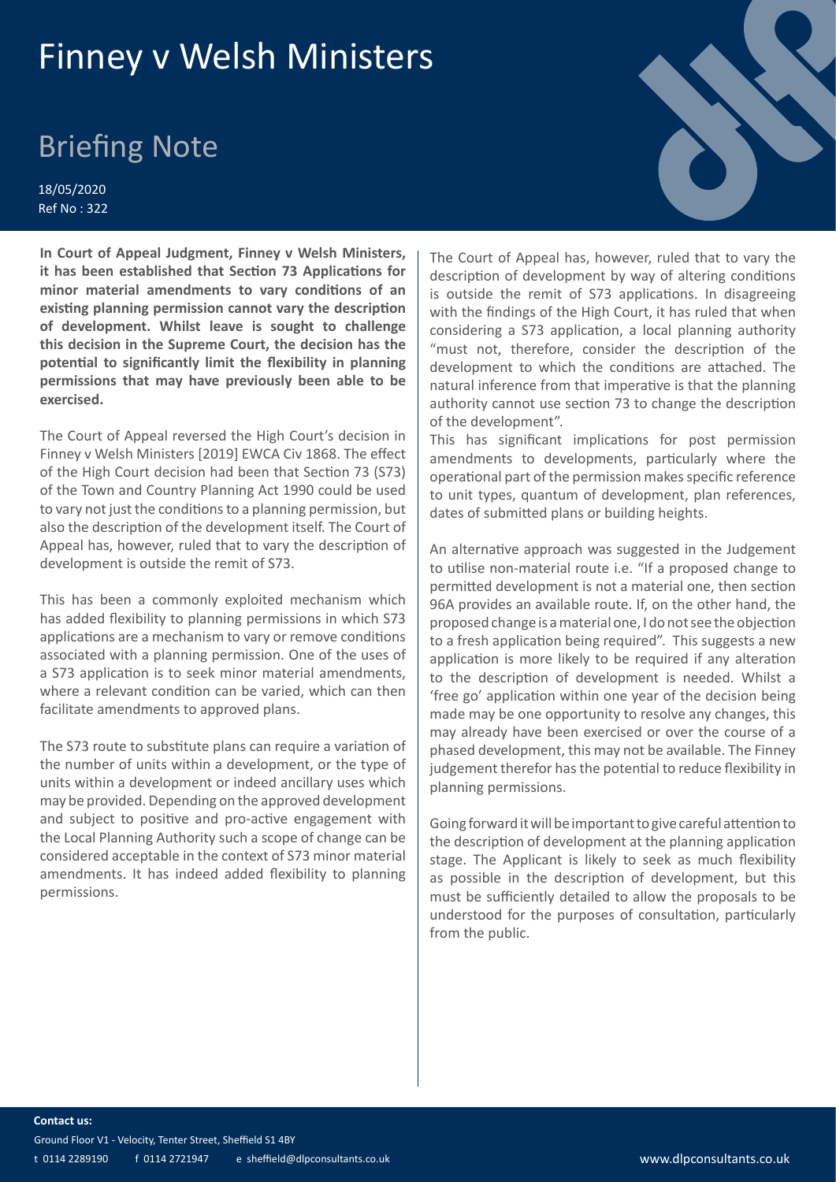## Finney v Welsh Ministers

## Briefing Note

18/05/2020 Ref No : 322

**In Court of Appeal Judgment, Finney v Welsh Ministers, it has been established that Section 73 Applications for minor material amendments to vary conditions of an existing planning permission cannot vary the description of development. Whilst leave is sought to challenge this decision in the Supreme Court, the decision has the potential to significantly limit the flexibility in planning permissions that may have previously been able to be exercised.**

The Court of Appeal reversed the High Court's decision in Finney v Welsh Ministers [2019] EWCA Civ 1868. The effect of the High Court decision had been that Section 73 (S73) of the Town and Country Planning Act 1990 could be used to vary not just the conditions to a planning permission, but also the description of the development itself. The Court of Appeal has, however, ruled that to vary the description of development is outside the remit of S73.

This has been a commonly exploited mechanism which has added flexibility to planning permissions in which S73 applications are a mechanism to vary or remove conditions associated with a planning permission. One of the uses of a S73 application is to seek minor material amendments, where a relevant condition can be varied, which can then facilitate amendments to approved plans.

The S73 route to substitute plans can require a variation of the number of units within a development, or the type of units within a development or indeed ancillary uses which may be provided. Depending on the approved development and subject to positive and pro-active engagement with the Local Planning Authority such a scope of change can be considered acceptable in the context of S73 minor material amendments. It has indeed added flexibility to planning permissions.

The Court of Appeal has, however, ruled that to vary the description of development by way of altering conditions is outside the remit of S73 applications. In disagreeing with the findings of the High Court, it has ruled that when considering a S73 application, a local planning authority "must not, therefore, consider the description of the development to which the conditions are attached. The natural inference from that imperative is that the planning authority cannot use section 73 to change the description of the development".

This has significant implications for post permission amendments to developments, particularly where the operational part of the permission makes specific reference to unit types, quantum of development, plan references, dates of submitted plans or building heights.

An alternative approach was suggested in the Judgement to utilise non-material route i.e. "If a proposed change to permitted development is not a material one, then section 96A provides an available route. If, on the other hand, the proposed change is a material one, I do not see the objection to a fresh application being required". This suggests a new application is more likely to be required if any alteration to the description of development is needed. Whilst a 'free go' application within one year of the decision being made may be one opportunity to resolve any changes, this may already have been exercised or over the course of a phased development, this may not be available. The Finney judgement therefor has the potential to reduce flexibility in planning permissions.

Going forward it will be important to give careful attention to the description of development at the planning application stage. The Applicant is likely to seek as much flexibility as possible in the description of development, but this must be sufficiently detailed to allow the proposals to be understood for the purposes of consultation, particularly from the public.